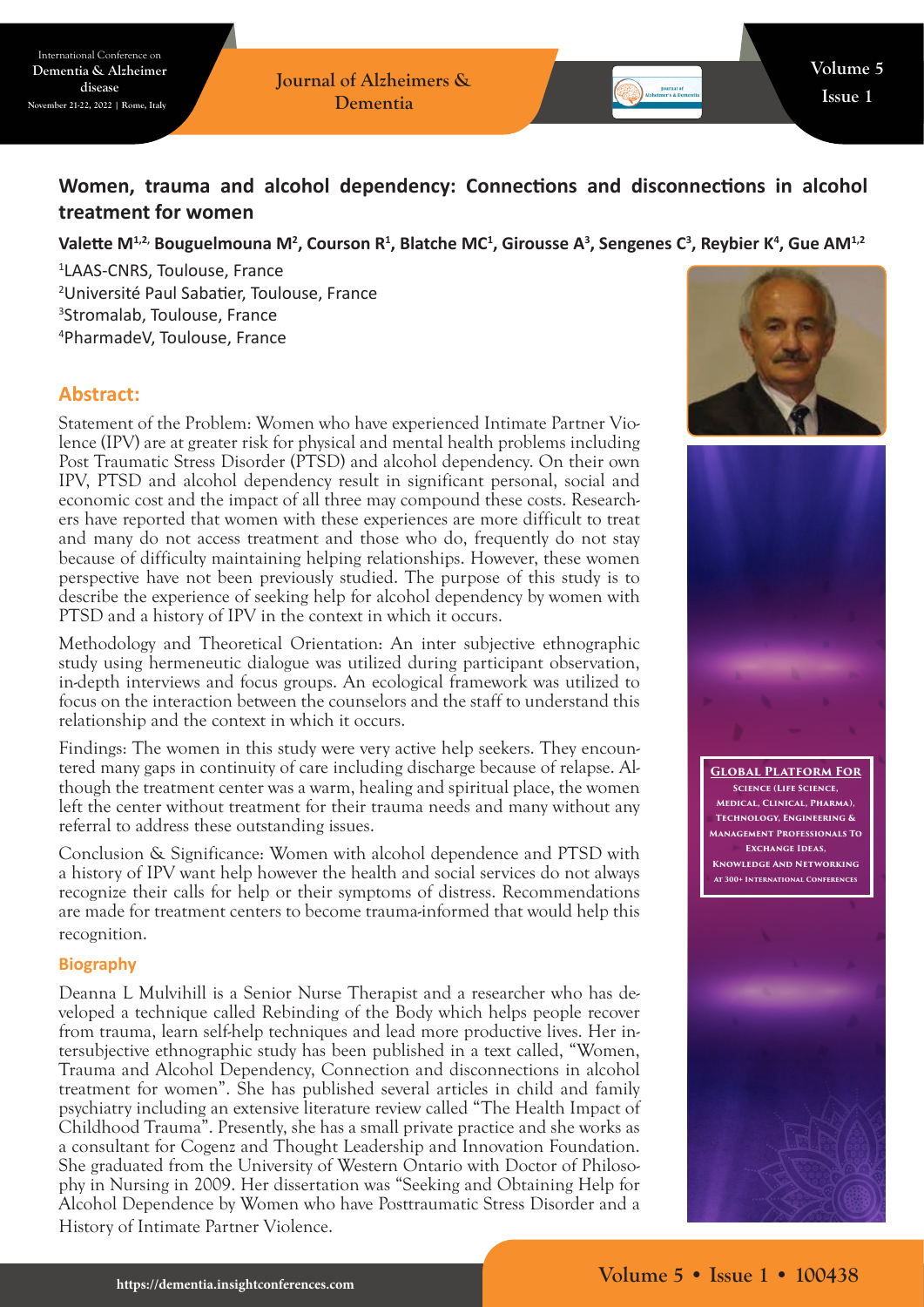**Journal of Alzheimers & Dementia**

# **Women, trauma and alcohol dependency: Connections and disconnections in alcohol treatment for women**

Valette M<sup>1,2,</sup> Bouguelmouna M<sup>2</sup>, Courson R<sup>1</sup>, Blatche MC<sup>1</sup>, Girousse A<sup>3</sup>, Sengenes C<sup>3</sup>, Reybier K<sup>4</sup>, Gue AM<sup>1,2</sup>

 LAAS-CNRS, Toulouse, France Université Paul Sabatier, Toulouse, France Stromalab, Toulouse, France PharmadeV, Toulouse, France

# **Abstract:**

Statement of the Problem: Women who have experienced Intimate Partner Violence (IPV) are at greater risk for physical and mental health problems including Post Traumatic Stress Disorder (PTSD) and alcohol dependency. On their own IPV, PTSD and alcohol dependency result in significant personal, social and economic cost and the impact of all three may compound these costs. Researchers have reported that women with these experiences are more difficult to treat and many do not access treatment and those who do, frequently do not stay because of difficulty maintaining helping relationships. However, these women perspective have not been previously studied. The purpose of this study is to describe the experience of seeking help for alcohol dependency by women with PTSD and a history of IPV in the context in which it occurs.

Methodology and Theoretical Orientation: An inter subjective ethnographic study using hermeneutic dialogue was utilized during participant observation, in-depth interviews and focus groups. An ecological framework was utilized to focus on the interaction between the counselors and the staff to understand this relationship and the context in which it occurs.

Findings: The women in this study were very active help seekers. They encountered many gaps in continuity of care including discharge because of relapse. Although the treatment center was a warm, healing and spiritual place, the women left the center without treatment for their trauma needs and many without any referral to address these outstanding issues.

Conclusion & Significance: Women with alcohol dependence and PTSD with a history of IPV want help however the health and social services do not always recognize their calls for help or their symptoms of distress. Recommendations are made for treatment centers to become trauma-informed that would help this recognition.

## **Biography**

Deanna L Mulvihill is a Senior Nurse Therapist and a researcher who has developed a technique called Rebinding of the Body which helps people recover from trauma, learn self-help techniques and lead more productive lives. Her intersubjective ethnographic study has been published in a text called, "Women, Trauma and Alcohol Dependency, Connection and disconnections in alcohol treatment for women". She has published several articles in child and family psychiatry including an extensive literature review called "The Health Impact of Childhood Trauma". Presently, she has a small private practice and she works as a consultant for Cogenz and Thought Leadership and Innovation Foundation. She graduated from the University of Western Ontario with Doctor of Philosophy in Nursing in 2009. Her dissertation was "Seeking and Obtaining Help for Alcohol Dependence by Women who have Posttraumatic Stress Disorder and a History of Intimate Partner Violence.